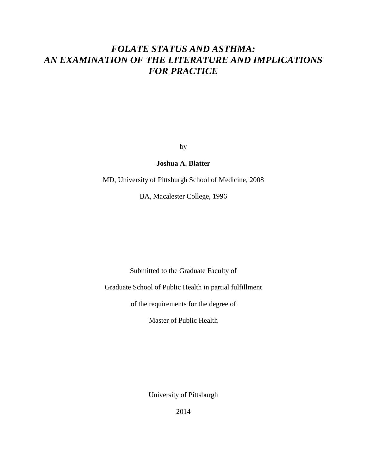# *FOLATE STATUS AND ASTHMA: AN EXAMINATION OF THE LITERATURE AND IMPLICATIONS FOR PRACTICE*

by

## **Joshua A. Blatter**

MD, University of Pittsburgh School of Medicine, 2008

BA, Macalester College, 1996

Submitted to the Graduate Faculty of

Graduate School of Public Health in partial fulfillment

of the requirements for the degree of

Master of Public Health

University of Pittsburgh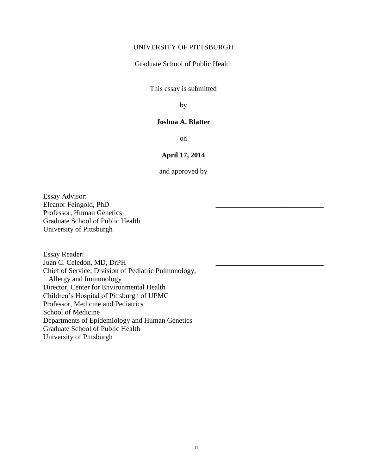## UNIVERSITY OF PITTSBURGH

Graduate School of Public Health

This essay is submitted

by

### **Joshua A. Blatter**

on

## **April 17, 2014**

and approved by

Essay Advisor: Eleanor Feingold, PhD Professor, Human Genetics Graduate School of Public Health University of Pittsburgh

Essay Reader: Juan C. Celedón, MD, DrPH Chief of Service, Division of Pediatric Pulmonology, Allergy and Immunology Director, Center for Environmental Health Children's Hospital of Pittsburgh of UPMC Professor, Medicine and Pediatrics School of Medicine Departments of Epidemiology and Human Genetics Graduate School of Public Health University of Pittsburgh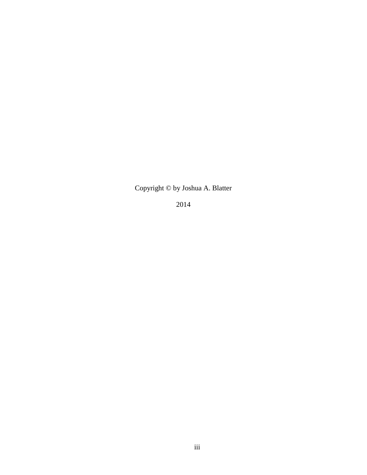Copyright © by Joshua A. Blatter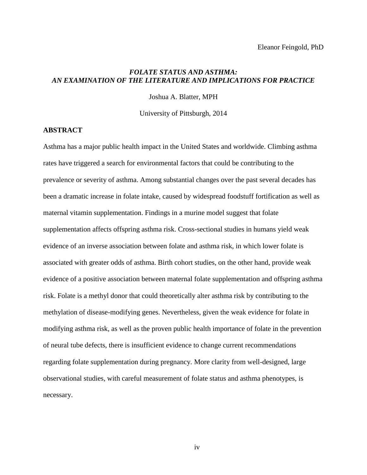### *FOLATE STATUS AND ASTHMA: AN EXAMINATION OF THE LITERATURE AND IMPLICATIONS FOR PRACTICE*

Joshua A. Blatter, MPH

University of Pittsburgh, 2014

#### **ABSTRACT**

Asthma has a major public health impact in the United States and worldwide. Climbing asthma rates have triggered a search for environmental factors that could be contributing to the prevalence or severity of asthma. Among substantial changes over the past several decades has been a dramatic increase in folate intake, caused by widespread foodstuff fortification as well as maternal vitamin supplementation. Findings in a murine model suggest that folate supplementation affects offspring asthma risk. Cross-sectional studies in humans yield weak evidence of an inverse association between folate and asthma risk, in which lower folate is associated with greater odds of asthma. Birth cohort studies, on the other hand, provide weak evidence of a positive association between maternal folate supplementation and offspring asthma risk. Folate is a methyl donor that could theoretically alter asthma risk by contributing to the methylation of disease-modifying genes. Nevertheless, given the weak evidence for folate in modifying asthma risk, as well as the proven public health importance of folate in the prevention of neural tube defects, there is insufficient evidence to change current recommendations regarding folate supplementation during pregnancy. More clarity from well-designed, large observational studies, with careful measurement of folate status and asthma phenotypes, is necessary.

iv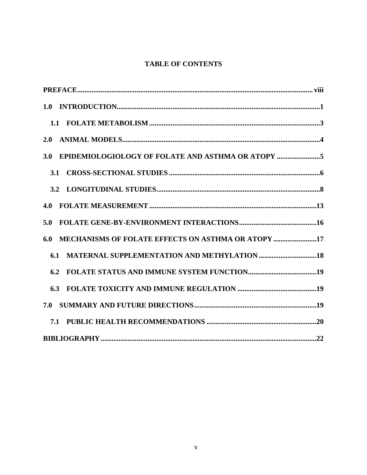## **TABLE OF CONTENTS**

| 2.0                                                       |  |
|-----------------------------------------------------------|--|
| EPIDEMIOLOGIOLOGY OF FOLATE AND ASTHMA OR ATOPY 5<br>3.0  |  |
| <b>3.1</b>                                                |  |
|                                                           |  |
| 4.0                                                       |  |
| 5.0                                                       |  |
| MECHANISMS OF FOLATE EFFECTS ON ASTHMA OR ATOPY 17<br>6.0 |  |
| 6.1                                                       |  |
| 6.2                                                       |  |
|                                                           |  |
| 7.0                                                       |  |
|                                                           |  |
|                                                           |  |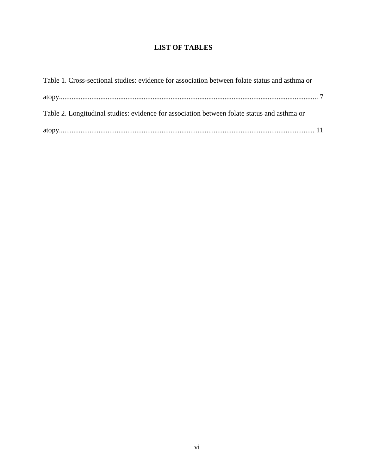## **LIST OF TABLES**

| Table 1. Cross-sectional studies: evidence for association between folate status and asthma or |  |
|------------------------------------------------------------------------------------------------|--|
|                                                                                                |  |
| Table 2. Longitudinal studies: evidence for association between folate status and asthma or    |  |
|                                                                                                |  |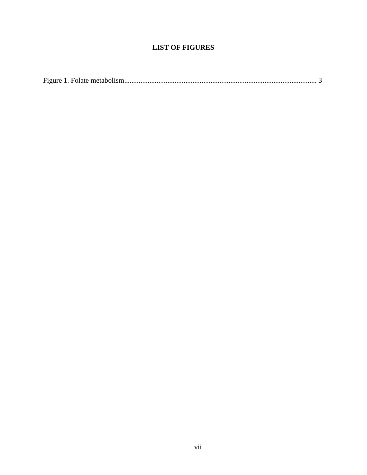## **LIST OF FIGURES**

|--|--|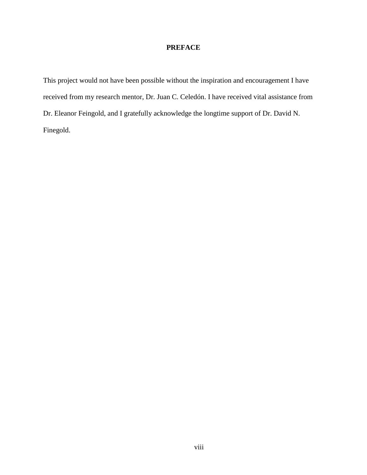## **PREFACE**

This project would not have been possible without the inspiration and encouragement I have received from my research mentor, Dr. Juan C. Celedón. I have received vital assistance from Dr. Eleanor Feingold, and I gratefully acknowledge the longtime support of Dr. David N. Finegold.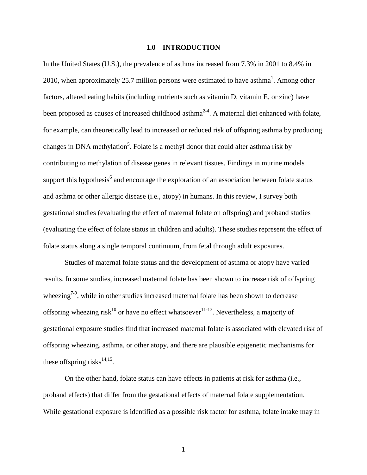#### **1.0 INTRODUCTION**

In the United States (U.S.), the prevalence of asthma increased from 7.3% in 2001 to 8.4% in 20[1](#page-29-0)0, when approximately 25.7 million persons were estimated to have asthma<sup>1</sup>. Among other factors, altered eating habits (including nutrients such as vitamin D, vitamin E, or zinc) have been proposed as causes of increased childhood asthma<sup>[2-4](#page-29-1)</sup>. A maternal diet enhanced with folate, for example, can theoretically lead to increased or reduced risk of offspring asthma by producing changes in DNA methylation<sup>5</sup>[.](#page-29-2) Folate is a methyl donor that could alter asthma risk by contributing to methylation of disease genes in relevant tissues. Findings in murine models [s](#page-29-3)upport this hypothesis<sup>6</sup> and encourage the exploration of an association between folate status and asthma or other allergic disease (i.e., atopy) in humans. In this review, I survey both gestational studies (evaluating the effect of maternal folate on offspring) and proband studies (evaluating the effect of folate status in children and adults). These studies represent the effect of folate status along a single temporal continuum, from fetal through adult exposures.

Studies of maternal folate status and the development of asthma or atopy have varied results. In some studies, increased maternal folate has been shown to increase risk of offspring wheezing<sup> $7-9$ </sup>, while in other studies increased maternal folate has been shown to decrease offspring wheezing risk<sup>[10](#page-29-5)</sup> or have no effect whatsoever<sup>[11-13](#page-30-0)</sup>. Nevertheless, a majority of gestational exposure studies find that increased maternal folate is associated with elevated risk of offspring wheezing, asthma, or other atopy, and there are plausible epigenetic mechanisms for these offspring risks $^{14,15}$  $^{14,15}$  $^{14,15}$  $^{14,15}$ .

On the other hand, folate status can have effects in patients at risk for asthma (i.e., proband effects) that differ from the gestational effects of maternal folate supplementation. While gestational exposure is identified as a possible risk factor for asthma, folate intake may in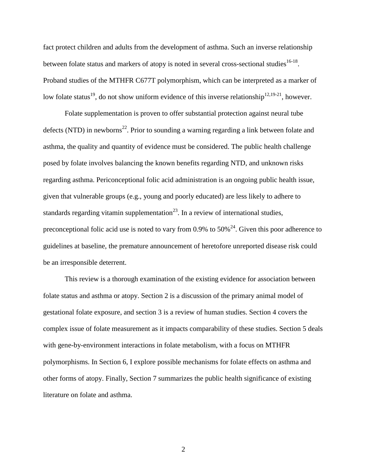fact protect children and adults from the development of asthma. Such an inverse relationship between folate status and markers of atopy is noted in several cross-sectional studies  $16-18$ . Proband studies of the MTHFR C677T polymorphism, which can be interpreted as a marker of low folate status<sup>[19](#page-30-4)</sup>, do not show uniform evidence of this inverse relationship<sup>[12,](#page-30-5)[19-21](#page-30-4)</sup>, however.

Folate supplementation is proven to offer substantial protection against neural tube defects (NTD) in newborns<sup>[22](#page-31-0)</sup>. Prior to sounding a warning regarding a link between folate and asthma, the quality and quantity of evidence must be considered. The public health challenge posed by folate involves balancing the known benefits regarding NTD, and unknown risks regarding asthma. Periconceptional folic acid administration is an ongoing public health issue, given that vulnerable groups (e.g., young and poorly educated) are less likely to adhere to standards regarding vitamin supplementation $^{23}$  $^{23}$  $^{23}$ . In a review of international studies, preconceptional folic acid use is noted to vary from 0.9% to  $50\%$ <sup>[24](#page-31-2)</sup>. Given this poor adherence to guidelines at baseline, the premature announcement of heretofore unreported disease risk could be an irresponsible deterrent.

This review is a thorough examination of the existing evidence for association between folate status and asthma or atopy. Section 2 is a discussion of the primary animal model of gestational folate exposure, and section 3 is a review of human studies. Section 4 covers the complex issue of folate measurement as it impacts comparability of these studies. Section 5 deals with gene-by-environment interactions in folate metabolism, with a focus on MTHFR polymorphisms. In Section 6, I explore possible mechanisms for folate effects on asthma and other forms of atopy. Finally, Section 7 summarizes the public health significance of existing literature on folate and asthma.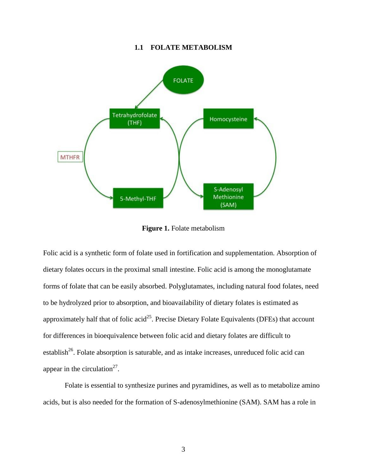#### **1.1 FOLATE METABOLISM**

<span id="page-10-0"></span>

**Figure 1.** Folate metabolism

Folic acid is a synthetic form of folate used in fortification and supplementation. Absorption of dietary folates occurs in the proximal small intestine. Folic acid is among the monoglutamate forms of folate that can be easily absorbed. Polyglutamates, including natural food folates, need to be hydrolyzed prior to absorption, and bioavailability of dietary folates is estimated as approximately half that of folic acid<sup>[25](#page-31-3)</sup>. Precise Dietary Folate Equivalents (DFEs) that account for differences in bioequivalence between folic acid and dietary folates are difficult to establish<sup>[26](#page-31-4)</sup>. Folate absorption is saturable, and as intake increases, unreduced folic acid can appear in the circulation<sup>[27](#page-31-5)</sup>.

Folate is essential to synthesize purines and pyramidines, as well as to metabolize amino acids, but is also needed for the formation of S-adenosylmethionine (SAM). SAM has a role in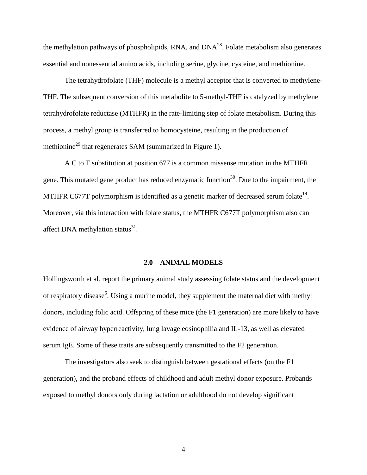the methylation pathways of phospholipids, RNA, and  $DNA^{28}$  $DNA^{28}$  $DNA^{28}$ . Folate metabolism also generates essential and nonessential amino acids, including serine, glycine, cysteine, and methionine.

The tetrahydrofolate (THF) molecule is a methyl acceptor that is converted to methylene-THF. The subsequent conversion of this metabolite to 5-methyl-THF is catalyzed by methylene tetrahydrofolate reductase (MTHFR) in the rate-limiting step of folate metabolism. During this process, a methyl group is transferred to homocysteine, resulting in the production of methionine<sup>[29](#page-31-7)</sup> that regenerates SAM (summarized in Figure 1).

A C to T substitution at position 677 is a common missense mutation in the MTHFR gene. This mutated gene product has reduced enzymatic function<sup>[30](#page-31-8)</sup>. Due to the impairment, the MTHFR C677T polymorphism is identified as a genetic marker of decreased serum folate<sup>[19](#page-30-4)</sup>. Moreover, via this interaction with folate status, the MTHFR C677T polymorphism also can affect DNA methylation status $^{31}$  $^{31}$  $^{31}$ .

#### **2.0 ANIMAL MODELS**

Hollingsworth et al. report the primary animal study assessing folate status and the development of r[e](#page-29-3)spiratory disease<sup>6</sup>. Using a murine model, they supplement the maternal diet with methyl donors, including folic acid. Offspring of these mice (the F1 generation) are more likely to have evidence of airway hyperreactivity, lung lavage eosinophilia and IL-13, as well as elevated serum IgE. Some of these traits are subsequently transmitted to the F2 generation.

The investigators also seek to distinguish between gestational effects (on the F1 generation), and the proband effects of childhood and adult methyl donor exposure. Probands exposed to methyl donors only during lactation or adulthood do not develop significant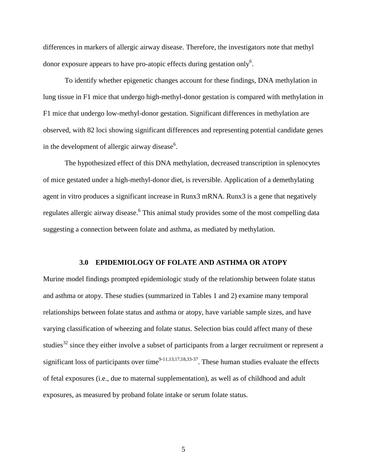differences in markers of allergic airway disease. Therefore, the investigators note that methyl donor exposure appears to have pro-atopic effects during gestation onl[y](#page-29-3)<sup>6</sup>.

To identify whether epigenetic changes account for these findings, DNA methylation in lung tissue in F1 mice that undergo high-methyl-donor gestation is compared with methylation in F1 mice that undergo low-methyl-donor gestation. Significant differences in methylation are observed, with 82 loci showing significant differences and representing potential candidate genes in the development of allergic airway disease $6$ [.](#page-29-3)

The hypothesized effect of this DNA methylation, decreased transcription in splenocytes of mice gestated under a high-methyl-donor diet, is reversible. Application of a demethylating agent in vitro produces a significant increase in Runx3 mRNA. Runx3 is a gene that negatively regulates allergic airway disease[.](#page-29-3) <sup>6</sup> This animal study provides some of the most compelling data suggesting a connection between folate and asthma, as mediated by methylation.

#### **3.0 EPIDEMIOLOGY OF FOLATE AND ASTHMA OR ATOPY**

Murine model findings prompted epidemiologic study of the relationship between folate status and asthma or atopy. These studies (summarized in Tables 1 and 2) examine many temporal relationships between folate status and asthma or atopy, have variable sample sizes, and have varying classification of wheezing and folate status. Selection bias could affect many of these studies<sup>[32](#page-32-0)</sup> since they either involve a subset of participants from a larger recruitment or represent a significant loss of participants over time<sup>[9-11,](#page-29-6)[13,](#page-30-6)[17,](#page-30-7)[18,](#page-30-8)[33-37](#page-32-1)</sup>. These human studies evaluate the effects of fetal exposures (i.e., due to maternal supplementation), as well as of childhood and adult exposures, as measured by proband folate intake or serum folate status.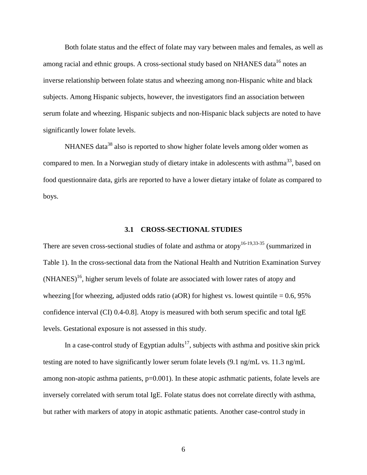Both folate status and the effect of folate may vary between males and females, as well as among racial and ethnic groups. A cross-sectional study based on NHANES data<sup>[16](#page-30-3)</sup> notes an inverse relationship between folate status and wheezing among non-Hispanic white and black subjects. Among Hispanic subjects, however, the investigators find an association between serum folate and wheezing. Hispanic subjects and non-Hispanic black subjects are noted to have significantly lower folate levels.

NHANES data<sup>[38](#page-32-2)</sup> also is reported to show higher folate levels among older women as compared to men. In a Norwegian study of dietary intake in adolescents with asthma<sup>[33](#page-32-1)</sup>, based on food questionnaire data, girls are reported to have a lower dietary intake of folate as compared to boys.

#### **3.1 CROSS-SECTIONAL STUDIES**

<span id="page-13-0"></span>There are seven cross-sectional studies of folate and asthma or atopy<sup>[16-19,](#page-30-3)[33-35](#page-32-1)</sup> (summarized in Table 1). In the cross-sectional data from the National Health and Nutrition Examination Survey  $(NHANES)<sup>16</sup>$  $(NHANES)<sup>16</sup>$  $(NHANES)<sup>16</sup>$ , higher serum levels of folate are associated with lower rates of atopy and wheezing [for wheezing, adjusted odds ratio (aOR) for highest vs. lowest quintile =  $0.6$ , 95% confidence interval (CI) 0.4-0.8]. Atopy is measured with both serum specific and total IgE levels. Gestational exposure is not assessed in this study.

In a case-control study of Egyptian adults<sup>[17](#page-30-7)</sup>, subjects with asthma and positive skin prick testing are noted to have significantly lower serum folate levels (9.1 ng/mL vs. 11.3 ng/mL among non-atopic asthma patients, p=0.001). In these atopic asthmatic patients, folate levels are inversely correlated with serum total IgE. Folate status does not correlate directly with asthma, but rather with markers of atopy in atopic asthmatic patients. Another case-control study in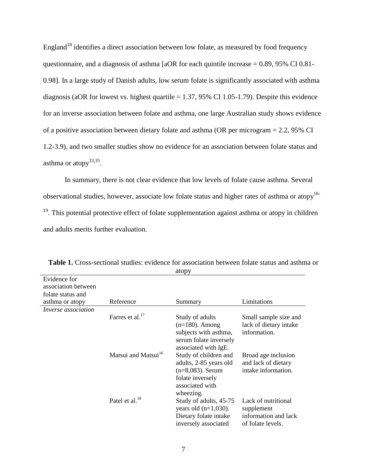England<sup>[18](#page-30-8)</sup> identifies a direct association between low folate, as measured by food frequency questionnaire, and a diagnosis of asthma [aOR for each quintile increase = 0.89, 95% CI 0.81- 0.98]. In a large study of Danish adults, low serum folate is significantly associated with asthma diagnosis (aOR for lowest vs. highest quartile  $= 1.37, 95\%$  CI 1.05-1.79). Despite this evidence for an inverse association between folate and asthma, one large Australian study shows evidence of a positive association between dietary folate and asthma (OR per microgram = 2.2, 95% CI 1.2-3.9), and two smaller studies show no evidence for an association between folate status and asthma or atopy $^{33,35}$  $^{33,35}$  $^{33,35}$  $^{33,35}$ .

In summary, there is not clear evidence that low levels of folate cause asthma. Several observational studies, however, associate low folate status and higher rates of asthma or atopy[16-](#page-30-3) <sup>19</sup>. This potential protective effect of folate supplementation against asthma or atopy in children and adults merits further evaluation.

| EVILIENCE TOL<br>association between |                                 |                                                                                                               |                                                                   |
|--------------------------------------|---------------------------------|---------------------------------------------------------------------------------------------------------------|-------------------------------------------------------------------|
| folate status and                    |                                 |                                                                                                               |                                                                   |
| asthma or atopy                      | Reference                       | Summary                                                                                                       | Limitations                                                       |
| <i>Inverse association</i>           |                                 |                                                                                                               |                                                                   |
|                                      | Farres et al. $^{17}$           | Study of adults                                                                                               | Small sample size and                                             |
|                                      |                                 | $(n=180)$ . Among                                                                                             | lack of dietary intake                                            |
|                                      |                                 | subjects with asthma,                                                                                         | information.                                                      |
|                                      |                                 | serum folate inversely<br>associated with IgE.                                                                |                                                                   |
|                                      | Matsui and Matsui <sup>16</sup> | Study of children and<br>adults, 2-85 years old<br>$(n=8,083)$ . Serum<br>folate inversely<br>associated with | Broad age inclusion<br>and lack of dietary<br>intake information. |
|                                      |                                 | wheezing.                                                                                                     |                                                                   |
|                                      | Patel et al. <sup>18</sup>      | Study of adults, 45-75<br>years old $(n=1,030)$ .                                                             | Lack of nutritional<br>supplement                                 |
|                                      |                                 | Dietary folate intake<br>inversely associated                                                                 | information and lack<br>of folate levels.                         |

Table 1. Cross-sectional studies: evidence for association between folate status and asthma or atopy Evidence for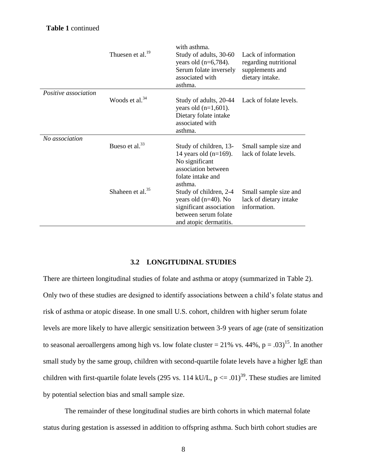|                             | Thuesen et al. <sup>19</sup> | with asthma.<br>Study of adults, 30-60<br>years old $(n=6,784)$ .<br>Serum folate inversely<br>associated with<br>asthma.      | Lack of information<br>regarding nutritional<br>supplements and<br>dietary intake. |
|-----------------------------|------------------------------|--------------------------------------------------------------------------------------------------------------------------------|------------------------------------------------------------------------------------|
| <i>Positive association</i> | Woods et al. <sup>34</sup>   | Study of adults, 20-44<br>years old $(n=1,601)$ .<br>Dietary folate intake<br>associated with<br>asthma.                       | Lack of folate levels.                                                             |
| No association              | Bueso et al. $33$            | Study of children, 13-<br>14 years old $(n=169)$ .<br>No significant<br>association between<br>folate intake and<br>asthma.    | Small sample size and<br>lack of folate levels.                                    |
|                             | Shaheen et al. $35$          | Study of children, 2-4<br>years old $(n=40)$ . No<br>significant association<br>between serum folate<br>and atopic dermatitis. | Small sample size and<br>lack of dietary intake<br>information.                    |

## **3.2 LONGITUDINAL STUDIES**

<span id="page-15-0"></span>There are thirteen longitudinal studies of folate and asthma or atopy (summarized in Table 2). Only two of these studies are designed to identify associations between a child's folate status and risk of asthma or atopic disease. In one small U.S. cohort, children with higher serum folate levels are more likely to have allergic sensitization between 3-9 years of age (rate of sensitization to seasonal aeroallergens among high vs. low folate cluster = 21% vs. 44%,  $p = .03$ <sup>[15](#page-30-2)</sup>. In another small study by the same group, children with second-quartile folate levels have a higher IgE than children with first-quartile folate levels (295 vs. 114 kU/L,  $p \le 0.01$ )<sup>[39](#page-32-5)</sup>. These studies are limited by potential selection bias and small sample size.

The remainder of these longitudinal studies are birth cohorts in which maternal folate status during gestation is assessed in addition to offspring asthma. Such birth cohort studies are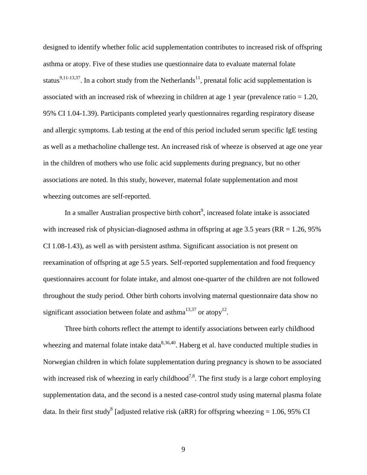designed to identify whether folic acid supplementation contributes to increased risk of offspring asthma or atopy. Five of these studies use questionnaire data to evaluate maternal folate status<sup>[9,](#page-29-6)[11-13](#page-30-0)[,37](#page-32-6)</sup>. In a cohort study from the Netherlands<sup>[11](#page-30-0)</sup>, prenatal folic acid supplementation is associated with an increased risk of wheezing in children at age 1 year (prevalence ratio = 1.20, 95% CI 1.04-1.39). Participants completed yearly questionnaires regarding respiratory disease and allergic symptoms. Lab testing at the end of this period included serum specific IgE testing as well as a methacholine challenge test. An increased risk of wheeze is observed at age one year in the children of mothers who use folic acid supplements during pregnancy, but no other associations are noted. In this study, however, maternal folate supplementation and most wheezing outcomes are self-reported.

In a smaller Australian prospective birth cohort<sup>9</sup>[,](#page-29-6) increased folate intake is associated with increased risk of physician-diagnosed asthma in offspring at age 3.5 years ( $RR = 1.26$ , 95%) CI 1.08-1.43), as well as with persistent asthma. Significant association is not present on reexamination of offspring at age 5.5 years. Self-reported supplementation and food frequency questionnaires account for folate intake, and almost one-quarter of the children are not followed throughout the study period. Other birth cohorts involving maternal questionnaire data show no significant association between folate and asthma<sup>[13,](#page-30-6)[37](#page-32-6)</sup> or atopy<sup>[12](#page-30-5)</sup>.

Three birth cohorts reflect the attempt to identify associations between early childhood wheezing and maternal folate intake data $8,36,40$  $8,36,40$  $8,36,40$ . Haberg et al. have conducted multiple studies in Norwegian children in which folate supplementation during pregnancy is shown to be associated with increased risk of wheezing in early childhood<sup>[7](#page-29-4)[,8](#page-29-7)</sup>. The first study is a large cohort employing supplementation data, and the second is a nested case-control study using maternal plasma folate data. In their first stud[y](#page-29-7)<sup>8</sup> [adjusted relative risk (aRR) for offspring wheezing = 1.06, 95% CI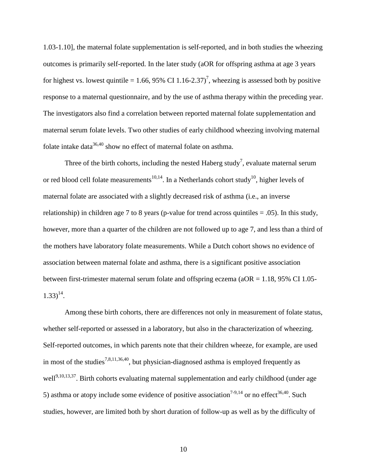1.03-1.10], the maternal folate supplementation is self-reported, and in both studies the wheezing outcomes is primarily self-reported. In the later study (aOR for offspring asthma at age 3 years for highest vs. lowest quintile = 1.66, 95% CI 1.16-2.3[7](#page-29-4))<sup>7</sup>, wheezing is assessed both by positive response to a maternal questionnaire, and by the use of asthma therapy within the preceding year. The investigators also find a correlation between reported maternal folate supplementation and maternal serum folate levels. Two other studies of early childhood wheezing involving maternal folate intake data $36,40$  $36,40$  show no effect of maternal folate on asthma.

Three of the birth cohorts, including the nested Haberg stud[y](#page-29-4)<sup>7</sup>, evaluate maternal serum or red blood cell folate measurements<sup>[10](#page-29-5)[,14](#page-30-1)</sup>. In a Netherlands cohort study<sup>10</sup>, higher levels of maternal folate are associated with a slightly decreased risk of asthma (i.e., an inverse relationship) in children age 7 to 8 years (p-value for trend across quintiles  $= .05$ ). In this study, however, more than a quarter of the children are not followed up to age 7, and less than a third of the mothers have laboratory folate measurements. While a Dutch cohort shows no evidence of association between maternal folate and asthma, there is a significant positive association between first-trimester maternal serum folate and offspring eczema (aOR = 1.18, 95% CI 1.05-  $1.33)^{14}$  $1.33)^{14}$  $1.33)^{14}$ .

Among these birth cohorts, there are differences not only in measurement of folate status, whether self-reported or assessed in a laboratory, but also in the characterization of wheezing. Self-reported outcomes, in which parents note that their children wheeze, for example, are used in most of the studies<sup>[7,](#page-29-4)[8,](#page-29-7)[11,](#page-30-0)[36,](#page-32-7)[40](#page-32-8)</sup>, but physician-diagnosed asthma is employed frequently as well<sup>[9,](#page-29-6)[10,](#page-29-5)[13,](#page-30-6)[37](#page-32-6)</sup>. Birth cohorts evaluating maternal supplementation and early childhood (under age 5) asthma or atopy include some evidence of positive association<sup>[7-9](#page-29-4)[,14](#page-30-1)</sup> or no effect<sup>[36](#page-32-7)[,40](#page-32-8)</sup>. Such studies, however, are limited both by short duration of follow-up as well as by the difficulty of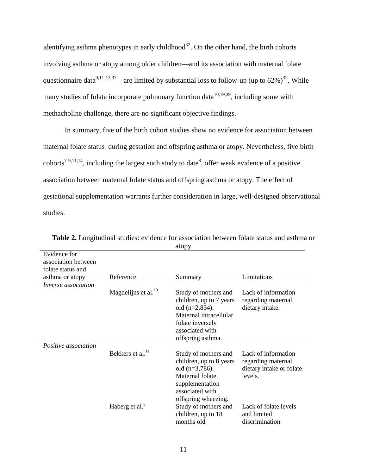identifying asthma phenotypes in early childhood<sup>[32](#page-32-0)</sup>. On the other hand, the birth cohorts involving asthma or atopy among older children—and its association with maternal folate questionnaire data<sup>[9,](#page-29-6)[11-13,](#page-30-0)[37](#page-32-6)</sup>—are limited by substantial loss to follow-up (up to  $62\%$ )<sup>[32](#page-32-0)</sup>. While many studies of folate incorporate pulmonary function data<sup>[10](#page-29-5)[,19](#page-30-4)[,39](#page-32-5)</sup>, including some with methacholine challenge, there are no significant objective findings.

In summary, five of the birth cohort studies show no evidence for association between maternal folate status during gestation and offspring asthma or atopy. Nevertheless, five birth cohorts<sup>[7-9](#page-29-4)[,11](#page-30-0)[,14](#page-30-1)</sup>[,](#page-29-7) including the largest such study to date<sup>8</sup>, offer weak evidence of a positive association between maternal folate status and offspring asthma or atopy. The effect of gestational supplementation warrants further consideration in large, well-designed observational studies.

| Evidence for<br>association between<br>folate status and |                            |                                                                                                                                                            |                                                                                  |
|----------------------------------------------------------|----------------------------|------------------------------------------------------------------------------------------------------------------------------------------------------------|----------------------------------------------------------------------------------|
| asthma or atopy                                          | Reference                  | Summary                                                                                                                                                    | Limitations                                                                      |
| <i>Inverse association</i>                               |                            |                                                                                                                                                            |                                                                                  |
|                                                          | Magdelijns et al. $^{10}$  | Study of mothers and<br>children, up to 7 years<br>old $(n=2,834)$ .<br>Maternal intracellular<br>folate inversely<br>associated with<br>offspring asthma. | Lack of information<br>regarding maternal<br>dietary intake.                     |
| Positive association                                     |                            |                                                                                                                                                            |                                                                                  |
|                                                          | Bekkers et al. $^{11}$     | Study of mothers and<br>children, up to 8 years<br>old $(n=3,786)$ .<br>Maternal folate<br>supplementation<br>associated with<br>offspring wheezing.       | Lack of information<br>regarding maternal<br>dietary intake or folate<br>levels. |
|                                                          | Haberg et al. <sup>8</sup> | Study of mothers and<br>children, up to 18<br>months old                                                                                                   | Lack of folate levels<br>and limited<br>discrimination                           |

**Table 2.** Longitudinal studies: evidence for association between folate status and asthma or atopy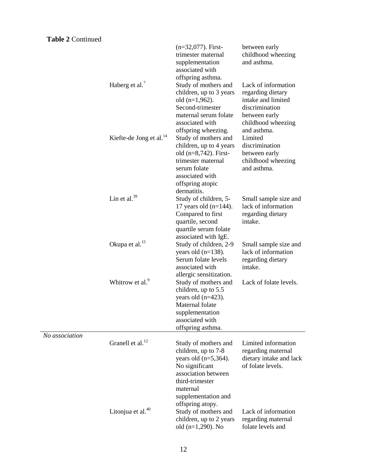## **Table 2** Continued

|                | Haberg et al. <sup>7</sup>          | $(n=32,077)$ . First-<br>trimester maternal<br>supplementation<br>associated with<br>offspring asthma.<br>Study of mothers and<br>children, up to 3 years<br>old $(n=1,962)$ .<br>Second-trimester<br>maternal serum folate | between early<br>childhood wheezing<br>and asthma.<br>Lack of information<br>regarding dietary<br>intake and limited<br>discrimination<br>between early |
|----------------|-------------------------------------|-----------------------------------------------------------------------------------------------------------------------------------------------------------------------------------------------------------------------------|---------------------------------------------------------------------------------------------------------------------------------------------------------|
|                | Kiefte-de Jong et al. <sup>14</sup> | associated with<br>offspring wheezing.<br>Study of mothers and<br>children, up to 4 years<br>old $(n=8,742)$ . First-<br>trimester maternal<br>serum folate                                                                 | childhood wheezing<br>and asthma.<br>Limited<br>discrimination<br>between early<br>childhood wheezing<br>and asthma.                                    |
|                | Lin et al. $39$                     | associated with<br>offspring atopic<br>dermatitis.<br>Study of children, 5-<br>17 years old $(n=144)$ .<br>Compared to first<br>quartile, second<br>quartile serum folate                                                   | Small sample size and<br>lack of information<br>regarding dietary<br>intake.                                                                            |
|                | Okupa et al. <sup>15</sup>          | associated with IgE.<br>Study of children, 2-9<br>years old $(n=138)$ .<br>Serum folate levels<br>associated with                                                                                                           | Small sample size and<br>lack of information<br>regarding dietary<br>intake.                                                                            |
|                | Whitrow et al. <sup>9</sup>         | allergic sensitization.<br>Study of mothers and<br>children, up to 5.5<br>years old $(n=423)$ .<br>Maternal folate<br>supplementation<br>associated with<br>offspring asthma.                                               | Lack of folate levels.                                                                                                                                  |
| No association | Granell et al. <sup>12</sup>        | Study of mothers and<br>children, up to 7-8<br>years old $(n=5,364)$ .<br>No significant<br>association between<br>third-trimester<br>maternal<br>supplementation and                                                       | Limited information<br>regarding maternal<br>dietary intake and lack<br>of folate levels.                                                               |
|                | Litonjua et al. <sup>40</sup>       | offspring atopy.<br>Study of mothers and<br>children, up to 2 years<br>old $(n=1,290)$ . No                                                                                                                                 | Lack of information<br>regarding maternal<br>folate levels and                                                                                          |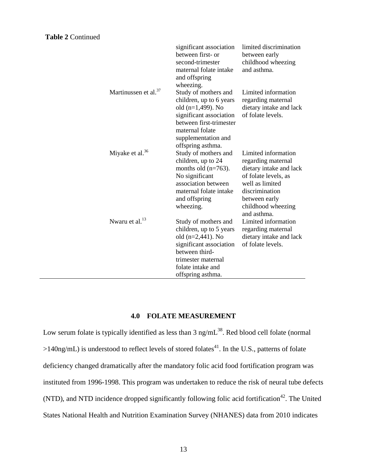|                                  | significant association<br>between first- or<br>second-trimester<br>maternal folate intake<br>and offspring<br>wheezing.                                                                     | limited discrimination<br>between early<br>childhood wheezing<br>and asthma.                                                                                                            |
|----------------------------------|----------------------------------------------------------------------------------------------------------------------------------------------------------------------------------------------|-----------------------------------------------------------------------------------------------------------------------------------------------------------------------------------------|
| Martinussen et al. <sup>37</sup> | Study of mothers and<br>children, up to 6 years<br>old $(n=1,499)$ . No<br>significant association<br>between first-trimester<br>maternal folate<br>supplementation and<br>offspring asthma. | Limited information<br>regarding maternal<br>dietary intake and lack<br>of folate levels.                                                                                               |
| Miyake et al. <sup>36</sup>      | Study of mothers and<br>children, up to 24<br>months old $(n=763)$ .<br>No significant<br>association between<br>maternal folate intake<br>and offspring<br>wheezing.                        | Limited information<br>regarding maternal<br>dietary intake and lack<br>of folate levels, as<br>well as limited<br>discrimination<br>between early<br>childhood wheezing<br>and asthma. |
| Nwaru et al. $^{13}$             | Study of mothers and<br>children, up to 5 years<br>old $(n=2,441)$ . No<br>significant association<br>between third-<br>trimester maternal<br>folate intake and<br>offspring asthma.         | Limited information<br>regarding maternal<br>dietary intake and lack<br>of folate levels.                                                                                               |

### **4.0 FOLATE MEASUREMENT**

Low serum folate is typically identified as less than  $3 \text{ ng/mL}^{38}$  $3 \text{ ng/mL}^{38}$  $3 \text{ ng/mL}^{38}$ . Red blood cell folate (normal  $>140$ ng/mL) is understood to reflect levels of stored folates<sup>[41](#page-32-9)</sup>. In the U.S., patterns of folate deficiency changed dramatically after the mandatory folic acid food fortification program was instituted from 1996-1998. This program was undertaken to reduce the risk of neural tube defects (NTD), and NTD incidence dropped significantly following folic acid fortification<sup>[42](#page-33-0)</sup>. The United States National Health and Nutrition Examination Survey (NHANES) data from 2010 indicates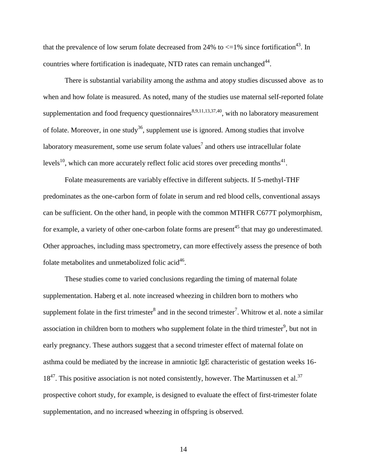that the prevalence of low serum folate decreased from 24% to  $\langle 1 \rangle$  since fortification<sup>[43](#page-33-1)</sup>. In countries where fortification is inadequate, NTD rates can remain unchanged<sup>[44](#page-33-2)</sup>.

There is substantial variability among the asthma and atopy studies discussed above as to when and how folate is measured. As noted, many of the studies use maternal self-reported folate supplementation and food frequency questionnaires<sup>[8](#page-29-7)[,9](#page-29-6)[,11](#page-30-0)[,13](#page-30-6)[,37](#page-32-6)[,40](#page-32-8)</sup>, with no laboratory measurement of folate. Moreover, in one study<sup>[36](#page-32-7)</sup>, supplement use is ignored. Among studies that involve laboratory measurement, some use serum folate values<sup>[7](#page-29-4)</sup> and others use intracellular folate levels<sup>[10](#page-29-5)</sup>, which can more accurately reflect folic acid stores over preceding months<sup>[41](#page-32-9)</sup>.

Folate measurements are variably effective in different subjects. If 5-methyl-THF predominates as the one-carbon form of folate in serum and red blood cells, conventional assays can be sufficient. On the other hand, in people with the common MTHFR C677T polymorphism, for example, a variety of other one-carbon folate forms are present<sup>[45](#page-33-3)</sup> that may go underestimated. Other approaches, including mass spectrometry, can more effectively assess the presence of both folate metabolites and unmetabolized folic acid<sup>[46](#page-33-4)</sup>.

These studies come to varied conclusions regarding the timing of maternal folate supplementation. Haberg et al. note increased wheezing in children born to mothers who supplement folate in the fi[r](#page-29-7)st trimester<sup>8</sup> and in the second trimester<sup>[7](#page-29-4)</sup>. Whitrow et al. note a similar association in child[r](#page-29-6)en born to mothers who supplement folate in the third trimester<sup>9</sup>, but not in early pregnancy. These authors suggest that a second trimester effect of maternal folate on asthma could be mediated by the increase in amniotic IgE characteristic of gestation weeks 16-  $18<sup>47</sup>$  $18<sup>47</sup>$  $18<sup>47</sup>$ . This positive association is not noted consistently, however. The Martinussen et al.<sup>[37](#page-32-6)</sup> prospective cohort study, for example, is designed to evaluate the effect of first-trimester folate supplementation, and no increased wheezing in offspring is observed.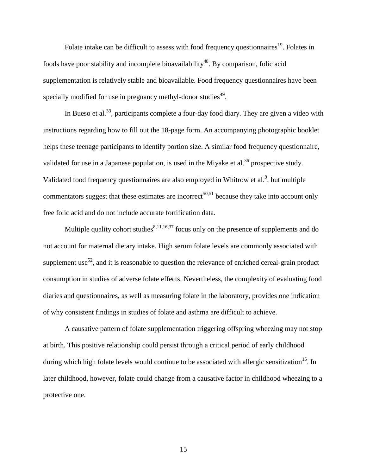Folate intake can be difficult to assess with food frequency questionnaires<sup>[19](#page-30-4)</sup>. Folates in foods have poor stability and incomplete bioavailability<sup>[48](#page-33-6)</sup>. By comparison, folic acid supplementation is relatively stable and bioavailable. Food frequency questionnaires have been specially modified for use in pregnancy methyl-donor studies<sup>[49](#page-33-7)</sup>.

In Bueso et al.<sup>[33](#page-32-1)</sup>, participants complete a four-day food diary. They are given a video with instructions regarding how to fill out the 18-page form. An accompanying photographic booklet helps these teenage participants to identify portion size. A similar food frequency questionnaire, validated for use in a Japanese population, is used in the Miyake et al.<sup>[36](#page-32-7)</sup> prospective study. Validated food frequency questionnaires are also employed in Whitrow et al[.](#page-29-6)<sup>9</sup>, but multiple commentators suggest that these estimates are incorrect<sup>[50,](#page-33-8)[51](#page-33-9)</sup> because they take into account only free folic acid and do not include accurate fortification data.

Multiple quality cohort studies $8,11,16,37$  $8,11,16,37$  $8,11,16,37$  $8,11,16,37$  focus only on the presence of supplements and do not account for maternal dietary intake. High serum folate levels are commonly associated with supplement use<sup>[52](#page-34-0)</sup>, and it is reasonable to question the relevance of enriched cereal-grain product consumption in studies of adverse folate effects. Nevertheless, the complexity of evaluating food diaries and questionnaires, as well as measuring folate in the laboratory, provides one indication of why consistent findings in studies of folate and asthma are difficult to achieve.

A causative pattern of folate supplementation triggering offspring wheezing may not stop at birth. This positive relationship could persist through a critical period of early childhood during which high folate levels would continue to be associated with allergic sensitization<sup>[15](#page-30-2)</sup>. In later childhood, however, folate could change from a causative factor in childhood wheezing to a protective one.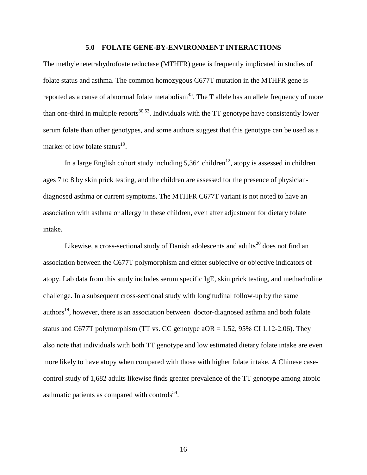### **5.0 FOLATE GENE-BY-ENVIRONMENT INTERACTIONS**

The methylenetetrahydrofoate reductase (MTHFR) gene is frequently implicated in studies of folate status and asthma. The common homozygous C677T mutation in the MTHFR gene is reported as a cause of abnormal folate metabolism<sup>[45](#page-33-3)</sup>. The T allele has an allele frequency of more than one-third in multiple reports<sup>[30,](#page-31-8)[53](#page-34-1)</sup>. Individuals with the TT genotype have consistently lower serum folate than other genotypes, and some authors suggest that this genotype can be used as a marker of low folate status<sup>[19](#page-30-4)</sup>.

In a large English cohort study including 5,364 children<sup>[12](#page-30-5)</sup>, atopy is assessed in children ages 7 to 8 by skin prick testing, and the children are assessed for the presence of physiciandiagnosed asthma or current symptoms. The MTHFR C677T variant is not noted to have an association with asthma or allergy in these children, even after adjustment for dietary folate intake.

Likewise, a cross-sectional study of Danish adolescents and adults<sup>[20](#page-30-9)</sup> does not find an association between the C677T polymorphism and either subjective or objective indicators of atopy. Lab data from this study includes serum specific IgE, skin prick testing, and methacholine challenge. In a subsequent cross-sectional study with longitudinal follow-up by the same authors<sup>[19](#page-30-4)</sup>, however, there is an association between doctor-diagnosed asthma and both folate status and C677T polymorphism (TT vs. CC genotype  $aOR = 1.52$ , 95% CI 1.12-2.06). They also note that individuals with both TT genotype and low estimated dietary folate intake are even more likely to have atopy when compared with those with higher folate intake. A Chinese casecontrol study of 1,682 adults likewise finds greater prevalence of the TT genotype among atopic asthmatic patients as compared with controls $^{54}$  $^{54}$  $^{54}$ .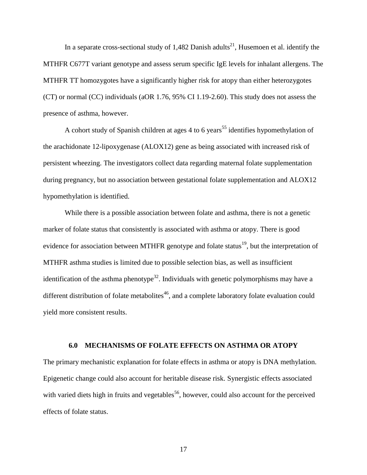In a separate cross-sectional study of 1,482 Danish adults<sup>[21](#page-31-10)</sup>, Husemoen et al. identify the MTHFR C677T variant genotype and assess serum specific IgE levels for inhalant allergens. The MTHFR TT homozygotes have a significantly higher risk for atopy than either heterozygotes (CT) or normal (CC) individuals (aOR 1.76, 95% CI 1.19-2.60). This study does not assess the presence of asthma, however.

A cohort study of Spanish children at ages 4 to 6 years<sup>[55](#page-34-3)</sup> identifies hypomethylation of the arachidonate 12-lipoxygenase (ALOX12) gene as being associated with increased risk of persistent wheezing. The investigators collect data regarding maternal folate supplementation during pregnancy, but no association between gestational folate supplementation and ALOX12 hypomethylation is identified.

While there is a possible association between folate and asthma, there is not a genetic marker of folate status that consistently is associated with asthma or atopy. There is good evidence for association between MTHFR genotype and folate status<sup>[19](#page-30-4)</sup>, but the interpretation of MTHFR asthma studies is limited due to possible selection bias, as well as insufficient identification of the asthma phenotype<sup>[32](#page-32-0)</sup>. Individuals with genetic polymorphisms may have a different distribution of folate metabolites $46$ , and a complete laboratory folate evaluation could yield more consistent results.

#### **6.0 MECHANISMS OF FOLATE EFFECTS ON ASTHMA OR ATOPY**

The primary mechanistic explanation for folate effects in asthma or atopy is DNA methylation. Epigenetic change could also account for heritable disease risk. Synergistic effects associated with varied diets high in fruits and vegetables<sup>[56](#page-34-4)</sup>, however, could also account for the perceived effects of folate status.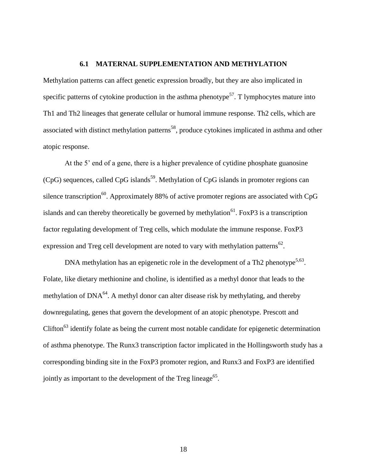#### **6.1 MATERNAL SUPPLEMENTATION AND METHYLATION**

Methylation patterns can affect genetic expression broadly, but they are also implicated in specific patterns of cytokine production in the asthma phenotype<sup>[57](#page-34-5)</sup>. T lymphocytes mature into Th1 and Th2 lineages that generate cellular or humoral immune response. Th2 cells, which are associated with distinct methylation patterns<sup>[58](#page-34-6)</sup>, produce cytokines implicated in asthma and other atopic response.

At the 5' end of a gene, there is a higher prevalence of cytidine phosphate guanosine (CpG) sequences, called CpG islands<sup>[59](#page-34-7)</sup>. Methylation of CpG islands in promoter regions can silence transcription<sup>[60](#page-34-8)</sup>. Approximately 88% of active promoter regions are associated with CpG islands and can thereby theoretically be governed by methylation<sup>[61](#page-34-9)</sup>. FoxP3 is a transcription factor regulating development of Treg cells, which modulate the immune response. FoxP3 expression and Treg cell development are noted to vary with methylation patterns<sup>[62](#page-35-0)</sup>.

DNA methylation has an epigenetic role in the development of a Th2 phenotype<sup>[5](#page-29-2)[,63](#page-35-1)</sup>. Folate, like dietary methionine and choline, is identified as a methyl donor that leads to the methylation of  $DNA^{64}$  $DNA^{64}$  $DNA^{64}$ . A methyl donor can alter disease risk by methylating, and thereby downregulating, genes that govern the development of an atopic phenotype. Prescott and Clifton<sup>[63](#page-35-1)</sup> identify folate as being the current most notable candidate for epigenetic determination of asthma phenotype. The Runx3 transcription factor implicated in the Hollingsworth study has a corresponding binding site in the FoxP3 promoter region, and Runx3 and FoxP3 are identified jointly as important to the development of the Treg lineage<sup>[65](#page-35-3)</sup>.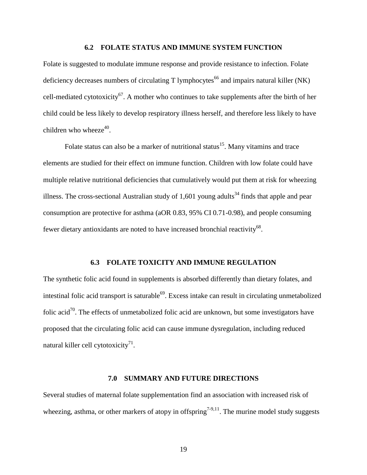#### **6.2 FOLATE STATUS AND IMMUNE SYSTEM FUNCTION**

Folate is suggested to modulate immune response and provide resistance to infection. Folate deficiency decreases numbers of circulating  $T$  lymphocytes<sup>[66](#page-35-4)</sup> and impairs natural killer (NK) cell-mediated cytotoxicity<sup>[67](#page-35-5)</sup>. A mother who continues to take supplements after the birth of her child could be less likely to develop respiratory illness herself, and therefore less likely to have children who wheeze $40$ .

Folate status can also be a marker of nutritional status<sup>[15](#page-30-2)</sup>. Many vitamins and trace elements are studied for their effect on immune function. Children with low folate could have multiple relative nutritional deficiencies that cumulatively would put them at risk for wheezing illness. The cross-sectional Australian study of  $1,601$  young adults<sup>[34](#page-32-4)</sup> finds that apple and pear consumption are protective for asthma (aOR 0.83, 95% CI 0.71-0.98), and people consuming fewer dietary antioxidants are noted to have increased bronchial reactivity<sup>[68](#page-35-6)</sup>.

#### **6.3 FOLATE TOXICITY AND IMMUNE REGULATION**

The synthetic folic acid found in supplements is absorbed differently than dietary folates, and intestinal folic acid transport is saturable<sup>[69](#page-35-7)</sup>. Excess intake can result in circulating unmetabolized folic acid<sup>[70](#page-35-8)</sup>. The effects of unmetabolized folic acid are unknown, but some investigators have proposed that the circulating folic acid can cause immune dysregulation, including reduced natural killer cell cytotoxicity $^{71}$  $^{71}$  $^{71}$ .

#### **7.0 SUMMARY AND FUTURE DIRECTIONS**

Several studies of maternal folate supplementation find an association with increased risk of wheezing, asthma, or other markers of atopy in offspring<sup>[7-9,](#page-29-4)[11](#page-30-0)</sup>. The murine model study suggests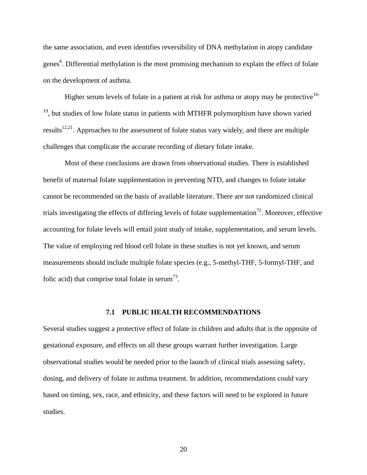the same association, and even identifies reversibility of DNA methylation in atopy candidate genes<sup>6</sup>[.](#page-29-3) Differential methylation is the most promising mechanism to explain the effect of folate on the development of asthma.

Higher serum levels of folate in a patient at risk for asthma or atopy may be protective<sup>[16-](#page-30-3)</sup>  $19$ , but studies of low folate status in patients with MTHFR polymorphism have shown varied results<sup>[12,](#page-30-5)[21](#page-31-10)</sup>. Approaches to the assessment of folate status vary widely, and there are multiple challenges that complicate the accurate recording of dietary folate intake.

Most of these conclusions are drawn from observational studies. There is established benefit of maternal folate supplementation in preventing NTD, and changes to folate intake cannot be recommended on the basis of available literature. There are not randomized clinical trials investigating the effects of differing levels of folate supplementation<sup>[72](#page-35-10)</sup>. Moreover, effective accounting for folate levels will entail joint study of intake, supplementation, and serum levels. The value of employing red blood cell folate in these studies is not yet known, and serum measurements should include multiple folate species (e.g., 5-methyl-THF, 5-formyl-THF, and folic acid) that comprise total folate in serum<sup>[73](#page-36-0)</sup>.

#### **7.1 PUBLIC HEALTH RECOMMENDATIONS**

Several studies suggest a protective effect of folate in children and adults that is the opposite of gestational exposure, and effects on all these groups warrant further investigation. Large observational studies would be needed prior to the launch of clinical trials assessing safety, dosing, and delivery of folate in asthma treatment. In addition, recommendations could vary based on timing, sex, race, and ethnicity, and these factors will need to be explored in future studies.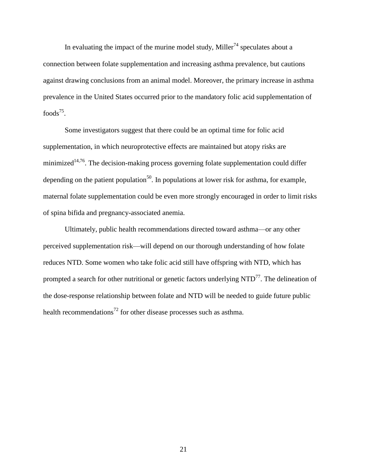In evaluating the impact of the murine model study, Miller<sup>[74](#page-36-1)</sup> speculates about a connection between folate supplementation and increasing asthma prevalence, but cautions against drawing conclusions from an animal model. Moreover, the primary increase in asthma prevalence in the United States occurred prior to the mandatory folic acid supplementation of foods $^{75}$  $^{75}$  $^{75}$ .

Some investigators suggest that there could be an optimal time for folic acid supplementation, in which neuroprotective effects are maintained but atopy risks are minimized<sup>[14,](#page-30-1)[76](#page-36-3)</sup>. The decision-making process governing folate supplementation could differ depending on the patient population<sup>[50](#page-33-8)</sup>. In populations at lower risk for asthma, for example, maternal folate supplementation could be even more strongly encouraged in order to limit risks of spina bifida and pregnancy-associated anemia.

Ultimately, public health recommendations directed toward asthma—or any other perceived supplementation risk—will depend on our thorough understanding of how folate reduces NTD. Some women who take folic acid still have offspring with NTD, which has prompted a search for other nutritional or genetic factors underlying  $NTD<sup>77</sup>$  $NTD<sup>77</sup>$  $NTD<sup>77</sup>$ . The delineation of the dose-response relationship between folate and NTD will be needed to guide future public health recommendations<sup>[72](#page-35-10)</sup> for other disease processes such as asthma.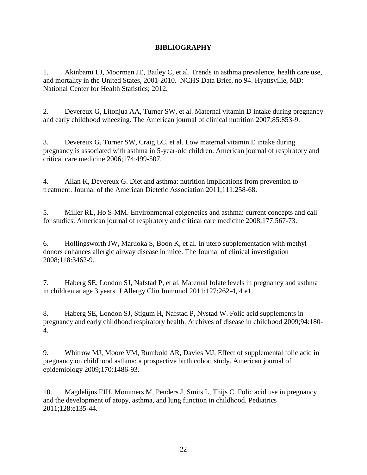## **BIBLIOGRAPHY**

<span id="page-29-0"></span>1. Akinbami LJ, Moorman JE, Bailey C, et al. Trends in asthma prevalence, health care use, and mortality in the United States, 2001-2010. NCHS Data Brief, no 94. Hyattsville, MD: National Center for Health Statistics; 2012.

<span id="page-29-1"></span>2. Devereux G, Litonjua AA, Turner SW, et al. Maternal vitamin D intake during pregnancy and early childhood wheezing. The American journal of clinical nutrition 2007;85:853-9.

3. Devereux G, Turner SW, Craig LC, et al. Low maternal vitamin E intake during pregnancy is associated with asthma in 5-year-old children. American journal of respiratory and critical care medicine 2006;174:499-507.

4. Allan K, Devereux G. Diet and asthma: nutrition implications from prevention to treatment. Journal of the American Dietetic Association 2011;111:258-68.

<span id="page-29-2"></span>5. Miller RL, Ho S-MM. Environmental epigenetics and asthma: current concepts and call for studies. American journal of respiratory and critical care medicine 2008;177:567-73.

<span id="page-29-3"></span>6. Hollingsworth JW, Maruoka S, Boon K, et al. In utero supplementation with methyl donors enhances allergic airway disease in mice. The Journal of clinical investigation 2008;118:3462-9.

<span id="page-29-4"></span>7. Haberg SE, London SJ, Nafstad P, et al. Maternal folate levels in pregnancy and asthma in children at age 3 years. J Allergy Clin Immunol 2011;127:262-4, 4 e1.

<span id="page-29-7"></span>8. Haberg SE, London SJ, Stigum H, Nafstad P, Nystad W. Folic acid supplements in pregnancy and early childhood respiratory health. Archives of disease in childhood 2009;94:180- 4.

<span id="page-29-6"></span>9. Whitrow MJ, Moore VM, Rumbold AR, Davies MJ. Effect of supplemental folic acid in pregnancy on childhood asthma: a prospective birth cohort study. American journal of epidemiology 2009;170:1486-93.

<span id="page-29-5"></span>10. Magdelijns FJH, Mommers M, Penders J, Smits L, Thijs C. Folic acid use in pregnancy and the development of atopy, asthma, and lung function in childhood. Pediatrics 2011;128:e135-44.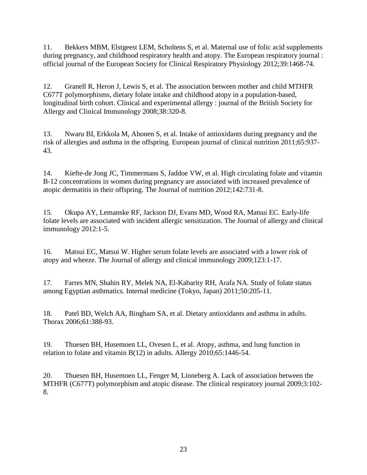<span id="page-30-0"></span>11. Bekkers MBM, Elstgeest LEM, Scholtens S, et al. Maternal use of folic acid supplements during pregnancy, and childhood respiratory health and atopy. The European respiratory journal : official journal of the European Society for Clinical Respiratory Physiology 2012;39:1468-74.

<span id="page-30-5"></span>12. Granell R, Heron J, Lewis S, et al. The association between mother and child MTHFR C677T polymorphisms, dietary folate intake and childhood atopy in a population-based, longitudinal birth cohort. Clinical and experimental allergy : journal of the British Society for Allergy and Clinical Immunology 2008;38:320-8.

<span id="page-30-6"></span>13. Nwaru BI, Erkkola M, Ahonen S, et al. Intake of antioxidants during pregnancy and the risk of allergies and asthma in the offspring. European journal of clinical nutrition 2011;65:937- 43.

<span id="page-30-1"></span>14. Kiefte-de Jong JC, Timmermans S, Jaddoe VW, et al. High circulating folate and vitamin B-12 concentrations in women during pregnancy are associated with increased prevalence of atopic dermatitis in their offspring. The Journal of nutrition 2012;142:731-8.

<span id="page-30-2"></span>15. Okupa AY, Lemanske RF, Jackson DJ, Evans MD, Wood RA, Matsui EC. Early-life folate levels are associated with incident allergic sensitization. The Journal of allergy and clinical immunology 2012:1-5.

<span id="page-30-3"></span>16. Matsui EC, Matsui W. Higher serum folate levels are associated with a lower risk of atopy and wheeze. The Journal of allergy and clinical immunology 2009;123:1-17.

<span id="page-30-7"></span>17. Farres MN, Shahin RY, Melek NA, El-Kabarity RH, Arafa NA. Study of folate status among Egyptian asthmatics. Internal medicine (Tokyo, Japan) 2011;50:205-11.

<span id="page-30-8"></span>18. Patel BD, Welch AA, Bingham SA, et al. Dietary antioxidants and asthma in adults. Thorax 2006;61:388-93.

<span id="page-30-4"></span>19. Thuesen BH, Husemoen LL, Ovesen L, et al. Atopy, asthma, and lung function in relation to folate and vitamin B(12) in adults. Allergy 2010;65:1446-54.

<span id="page-30-9"></span>20. Thuesen BH, Husemoen LL, Fenger M, Linneberg A. Lack of association between the MTHFR (C677T) polymorphism and atopic disease. The clinical respiratory journal 2009;3:102- 8.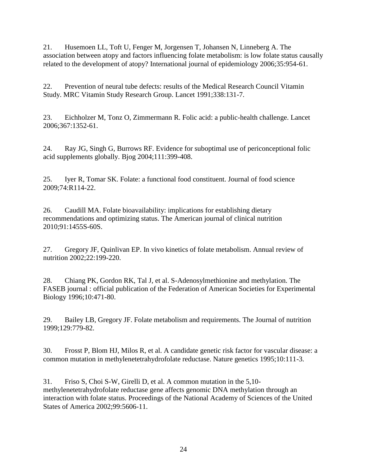<span id="page-31-10"></span>21. Husemoen LL, Toft U, Fenger M, Jorgensen T, Johansen N, Linneberg A. The association between atopy and factors influencing folate metabolism: is low folate status causally related to the development of atopy? International journal of epidemiology 2006;35:954-61.

<span id="page-31-0"></span>22. Prevention of neural tube defects: results of the Medical Research Council Vitamin Study. MRC Vitamin Study Research Group. Lancet 1991;338:131-7.

<span id="page-31-1"></span>23. Eichholzer M, Tonz O, Zimmermann R. Folic acid: a public-health challenge. Lancet 2006;367:1352-61.

<span id="page-31-2"></span>24. Ray JG, Singh G, Burrows RF. Evidence for suboptimal use of periconceptional folic acid supplements globally. Bjog 2004;111:399-408.

<span id="page-31-3"></span>25. Iyer R, Tomar SK. Folate: a functional food constituent. Journal of food science 2009;74:R114-22.

<span id="page-31-4"></span>26. Caudill MA. Folate bioavailability: implications for establishing dietary recommendations and optimizing status. The American journal of clinical nutrition 2010;91:1455S-60S.

<span id="page-31-5"></span>27. Gregory JF, Quinlivan EP. In vivo kinetics of folate metabolism. Annual review of nutrition 2002;22:199-220.

<span id="page-31-6"></span>28. Chiang PK, Gordon RK, Tal J, et al. S-Adenosylmethionine and methylation. The FASEB journal : official publication of the Federation of American Societies for Experimental Biology 1996;10:471-80.

<span id="page-31-7"></span>29. Bailey LB, Gregory JF. Folate metabolism and requirements. The Journal of nutrition 1999;129:779-82.

<span id="page-31-8"></span>30. Frosst P, Blom HJ, Milos R, et al. A candidate genetic risk factor for vascular disease: a common mutation in methylenetetrahydrofolate reductase. Nature genetics 1995;10:111-3.

<span id="page-31-9"></span>31. Friso S, Choi S-W, Girelli D, et al. A common mutation in the 5,10 methylenetetrahydrofolate reductase gene affects genomic DNA methylation through an interaction with folate status. Proceedings of the National Academy of Sciences of the United States of America 2002;99:5606-11.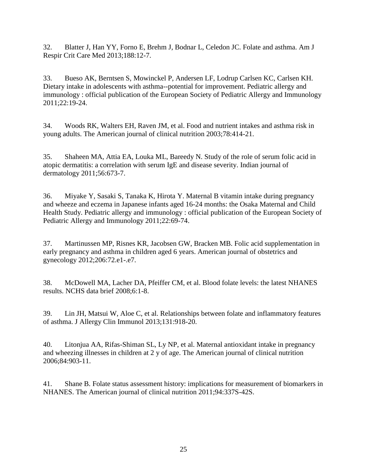<span id="page-32-0"></span>32. Blatter J, Han YY, Forno E, Brehm J, Bodnar L, Celedon JC. Folate and asthma. Am J Respir Crit Care Med 2013;188:12-7.

<span id="page-32-1"></span>33. Bueso AK, Berntsen S, Mowinckel P, Andersen LF, Lodrup Carlsen KC, Carlsen KH. Dietary intake in adolescents with asthma--potential for improvement. Pediatric allergy and immunology : official publication of the European Society of Pediatric Allergy and Immunology 2011;22:19-24.

<span id="page-32-4"></span>34. Woods RK, Walters EH, Raven JM, et al. Food and nutrient intakes and asthma risk in young adults. The American journal of clinical nutrition 2003;78:414-21.

<span id="page-32-3"></span>35. Shaheen MA, Attia EA, Louka ML, Bareedy N. Study of the role of serum folic acid in atopic dermatitis: a correlation with serum IgE and disease severity. Indian journal of dermatology 2011;56:673-7.

<span id="page-32-7"></span>36. Miyake Y, Sasaki S, Tanaka K, Hirota Y. Maternal B vitamin intake during pregnancy and wheeze and eczema in Japanese infants aged 16-24 months: the Osaka Maternal and Child Health Study. Pediatric allergy and immunology : official publication of the European Society of Pediatric Allergy and Immunology 2011;22:69-74.

<span id="page-32-6"></span>37. Martinussen MP, Risnes KR, Jacobsen GW, Bracken MB. Folic acid supplementation in early pregnancy and asthma in children aged 6 years. American journal of obstetrics and gynecology 2012;206:72.e1-.e7.

<span id="page-32-2"></span>38. McDowell MA, Lacher DA, Pfeiffer CM, et al. Blood folate levels: the latest NHANES results. NCHS data brief 2008;6:1-8.

<span id="page-32-5"></span>39. Lin JH, Matsui W, Aloe C, et al. Relationships between folate and inflammatory features of asthma. J Allergy Clin Immunol 2013;131:918-20.

<span id="page-32-8"></span>40. Litonjua AA, Rifas-Shiman SL, Ly NP, et al. Maternal antioxidant intake in pregnancy and wheezing illnesses in children at 2 y of age. The American journal of clinical nutrition 2006;84:903-11.

<span id="page-32-9"></span>41. Shane B. Folate status assessment history: implications for measurement of biomarkers in NHANES. The American journal of clinical nutrition 2011;94:337S-42S.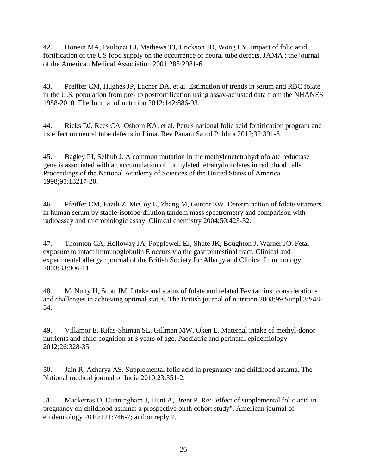<span id="page-33-0"></span>42. Honein MA, Paulozzi LJ, Mathews TJ, Erickson JD, Wong LY. Impact of folic acid fortification of the US food supply on the occurrence of neural tube defects. JAMA : the journal of the American Medical Association 2001;285:2981-6.

<span id="page-33-1"></span>43. Pfeiffer CM, Hughes JP, Lacher DA, et al. Estimation of trends in serum and RBC folate in the U.S. population from pre- to postfortification using assay-adjusted data from the NHANES 1988-2010. The Journal of nutrition 2012;142:886-93.

<span id="page-33-2"></span>44. Ricks DJ, Rees CA, Osborn KA, et al. Peru's national folic acid fortification program and its effect on neural tube defects in Lima. Rev Panam Salud Publica 2012;32:391-8.

<span id="page-33-3"></span>45. Bagley PJ, Selhub J. A common mutation in the methylenetetrahydrofolate reductase gene is associated with an accumulation of formylated tetrahydrofolates in red blood cells. Proceedings of the National Academy of Sciences of the United States of America 1998;95:13217-20.

<span id="page-33-4"></span>46. Pfeiffer CM, Fazili Z, McCoy L, Zhang M, Gunter EW. Determination of folate vitamers in human serum by stable-isotope-dilution tandem mass spectrometry and comparison with radioassay and microbiologic assay. Clinical chemistry 2004;50:423-32.

<span id="page-33-5"></span>47. Thornton CA, Holloway JA, Popplewell EJ, Shute JK, Boughton J, Warner JO. Fetal exposure to intact immunoglobulin E occurs via the gastrointestinal tract. Clinical and experimental allergy : journal of the British Society for Allergy and Clinical Immunology 2003;33:306-11.

<span id="page-33-6"></span>48. McNulty H, Scott JM. Intake and status of folate and related B-vitamins: considerations and challenges in achieving optimal status. The British journal of nutrition 2008;99 Suppl 3:S48- 54.

<span id="page-33-7"></span>49. Villamor E, Rifas-Shiman SL, Gillman MW, Oken E. Maternal intake of methyl-donor nutrients and child cognition at 3 years of age. Paediatric and perinatal epidemiology 2012;26:328-35.

<span id="page-33-8"></span>50. Jain R, Acharya AS. Supplemental folic acid in pregnancy and childhood asthma. The National medical journal of India 2010;23:351-2.

<span id="page-33-9"></span>51. Mackerras D, Cunningham J, Hunt A, Brent P. Re: "effect of supplemental folic acid in pregnancy on childhood asthma: a prospective birth cohort study". American journal of epidemiology 2010;171:746-7; author reply 7.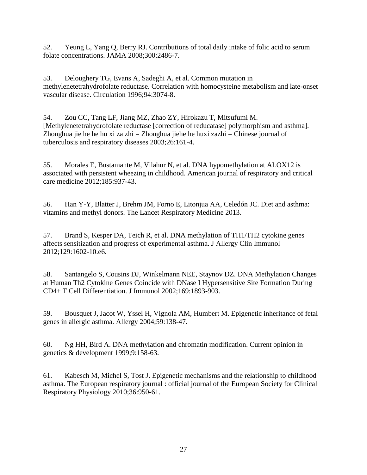<span id="page-34-0"></span>52. Yeung L, Yang Q, Berry RJ. Contributions of total daily intake of folic acid to serum folate concentrations. JAMA 2008;300:2486-7.

<span id="page-34-1"></span>53. Deloughery TG, Evans A, Sadeghi A, et al. Common mutation in methylenetetrahydrofolate reductase. Correlation with homocysteine metabolism and late-onset vascular disease. Circulation 1996;94:3074-8.

<span id="page-34-2"></span>54. Zou CC, Tang LF, Jiang MZ, Zhao ZY, Hirokazu T, Mitsufumi M. [Methylenetetrahydrofolate reductase [correction of reducatase] polymorphism and asthma]. Zhonghua jie he he hu xi za zhi = Zhonghua jiehe he huxi zazhi = Chinese journal of tuberculosis and respiratory diseases 2003;26:161-4.

<span id="page-34-3"></span>55. Morales E, Bustamante M, Vilahur N, et al. DNA hypomethylation at ALOX12 is associated with persistent wheezing in childhood. American journal of respiratory and critical care medicine 2012;185:937-43.

<span id="page-34-4"></span>56. Han Y-Y, Blatter J, Brehm JM, Forno E, Litonjua AA, Celedón JC. Diet and asthma: vitamins and methyl donors. The Lancet Respiratory Medicine 2013.

<span id="page-34-5"></span>57. Brand S, Kesper DA, Teich R, et al. DNA methylation of TH1/TH2 cytokine genes affects sensitization and progress of experimental asthma. J Allergy Clin Immunol 2012;129:1602-10.e6.

<span id="page-34-6"></span>58. Santangelo S, Cousins DJ, Winkelmann NEE, Staynov DZ. DNA Methylation Changes at Human Th2 Cytokine Genes Coincide with DNase I Hypersensitive Site Formation During CD4+ T Cell Differentiation. J Immunol 2002;169:1893-903.

<span id="page-34-7"></span>59. Bousquet J, Jacot W, Yssel H, Vignola AM, Humbert M. Epigenetic inheritance of fetal genes in allergic asthma. Allergy 2004;59:138-47.

<span id="page-34-8"></span>60. Ng HH, Bird A. DNA methylation and chromatin modification. Current opinion in genetics & development 1999;9:158-63.

<span id="page-34-9"></span>61. Kabesch M, Michel S, Tost J. Epigenetic mechanisms and the relationship to childhood asthma. The European respiratory journal : official journal of the European Society for Clinical Respiratory Physiology 2010;36:950-61.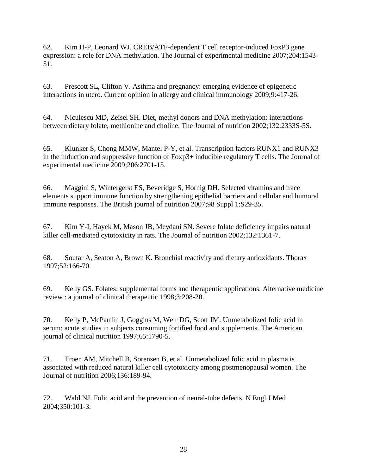<span id="page-35-0"></span>62. Kim H-P, Leonard WJ. CREB/ATF-dependent T cell receptor-induced FoxP3 gene expression: a role for DNA methylation. The Journal of experimental medicine 2007;204:1543- 51.

<span id="page-35-1"></span>63. Prescott SL, Clifton V. Asthma and pregnancy: emerging evidence of epigenetic interactions in utero. Current opinion in allergy and clinical immunology 2009;9:417-26.

<span id="page-35-2"></span>64. Niculescu MD, Zeisel SH. Diet, methyl donors and DNA methylation: interactions between dietary folate, methionine and choline. The Journal of nutrition 2002;132:2333S-5S.

<span id="page-35-3"></span>65. Klunker S, Chong MMW, Mantel P-Y, et al. Transcription factors RUNX1 and RUNX3 in the induction and suppressive function of Foxp3+ inducible regulatory T cells. The Journal of experimental medicine 2009;206:2701-15.

<span id="page-35-4"></span>66. Maggini S, Wintergerst ES, Beveridge S, Hornig DH. Selected vitamins and trace elements support immune function by strengthening epithelial barriers and cellular and humoral immune responses. The British journal of nutrition 2007;98 Suppl 1:S29-35.

<span id="page-35-5"></span>67. Kim Y-I, Hayek M, Mason JB, Meydani SN. Severe folate deficiency impairs natural killer cell-mediated cytotoxicity in rats. The Journal of nutrition 2002;132:1361-7.

<span id="page-35-6"></span>68. Soutar A, Seaton A, Brown K. Bronchial reactivity and dietary antioxidants. Thorax 1997;52:166-70.

<span id="page-35-7"></span>69. Kelly GS. Folates: supplemental forms and therapeutic applications. Alternative medicine review : a journal of clinical therapeutic 1998;3:208-20.

<span id="page-35-8"></span>70. Kelly P, McPartlin J, Goggins M, Weir DG, Scott JM. Unmetabolized folic acid in serum: acute studies in subjects consuming fortified food and supplements. The American journal of clinical nutrition 1997;65:1790-5.

<span id="page-35-9"></span>71. Troen AM, Mitchell B, Sorensen B, et al. Unmetabolized folic acid in plasma is associated with reduced natural killer cell cytotoxicity among postmenopausal women. The Journal of nutrition 2006;136:189-94.

<span id="page-35-10"></span>72. Wald NJ. Folic acid and the prevention of neural-tube defects. N Engl J Med 2004;350:101-3.